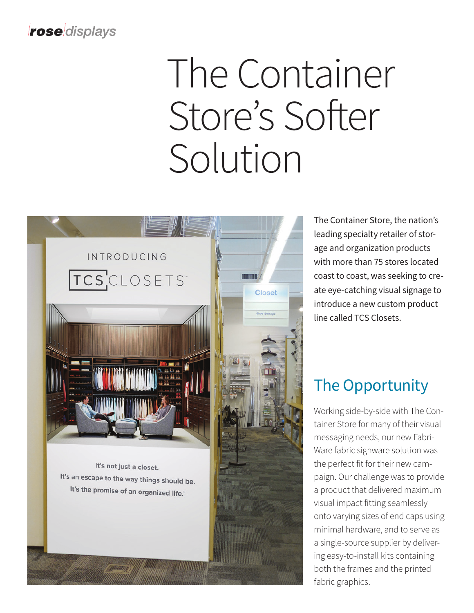#### roseldisplays

# The Container Store's Softer Solution



The Container Store, the nation's leading specialty retailer of storage and organization products with more than 75 stores located coast to coast, was seeking to create eye-catching visual signage to introduce a new custom product line called TCS Closets.

## The Opportunity

Working side-by-side with The Container Store for many of their visual messaging needs, our new Fabri-Ware fabric signware solution was the perfect fit for their new campaign. Our challenge was to provide a product that delivered maximum visual impact fitting seamlessly onto varying sizes of end caps using minimal hardware, and to serve as a single-source supplier by delivering easy-to-install kits containing both the frames and the printed fabric graphics.